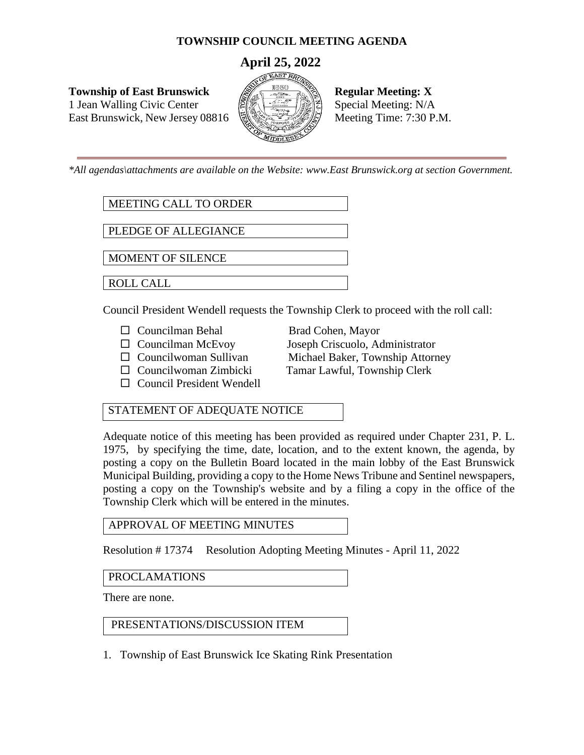# **TOWNSHIP COUNCIL MEETING AGENDA**

# **April 25, 2022**

**Township of East Brunswick Regular Meeting: X** 1 Jean Walling Civic Center  $\left|\frac{\partial f}{\partial x}\right| \leq \frac{1}{\sqrt{2}}$  Special Meeting: N/A East Brunswick, New Jersey 08816  $\left[\frac{1}{2}\right]$  Meeting Time: 7:30 P.M.



*\*All agendas\attachments are available on the Website: www.East Brunswick.org at section Government.*

MEETING CALL TO ORDER

PLEDGE OF ALLEGIANCE

MOMENT OF SILENCE

ROLL CALL

Council President Wendell requests the Township Clerk to proceed with the roll call:

- □ Councilman Behal Brad Cohen, Mayor
- 
- 
- 
- $\square$  Council President Wendell

 Councilman McEvoy Joseph Criscuolo, Administrator  $\Box$  Councilwoman Sullivan Michael Baker, Township Attorney Councilwoman Zimbicki Tamar Lawful, Township Clerk

# STATEMENT OF ADEQUATE NOTICE

Adequate notice of this meeting has been provided as required under Chapter 231, P. L. 1975, by specifying the time, date, location, and to the extent known, the agenda, by posting a copy on the Bulletin Board located in the main lobby of the East Brunswick Municipal Building, providing a copy to the Home News Tribune and Sentinel newspapers, posting a copy on the Township's website and by a filing a copy in the office of the Township Clerk which will be entered in the minutes.

APPROVAL OF MEETING MINUTES

Resolution # 17374 Resolution Adopting Meeting Minutes - April 11, 2022

## PROCLAMATIONS

There are none.

## PRESENTATIONS/DISCUSSION ITEM

1. Township of East Brunswick Ice Skating Rink Presentation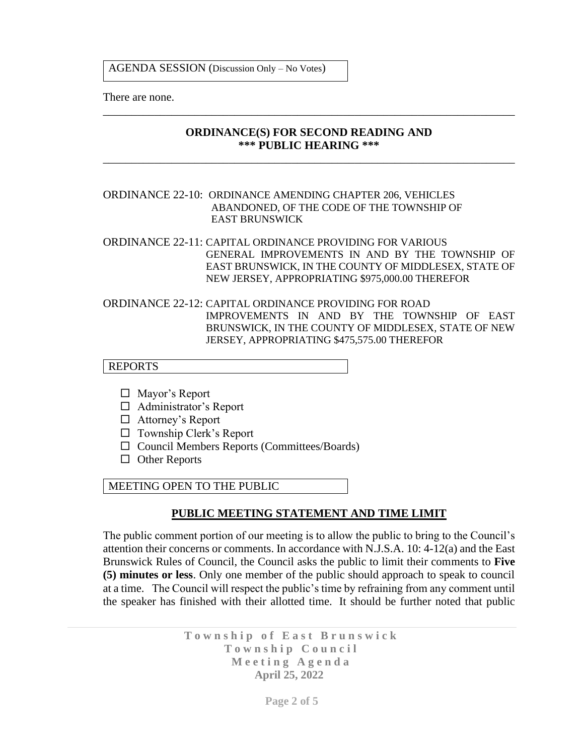AGENDA SESSION (Discussion Only – No Votes)

There are none.

#### **ORDINANCE(S) FOR SECOND READING AND \*\*\* PUBLIC HEARING \*\*\***

\_\_\_\_\_\_\_\_\_\_\_\_\_\_\_\_\_\_\_\_\_\_\_\_\_\_\_\_\_\_\_\_\_\_\_\_\_\_\_\_\_\_\_\_\_\_\_\_\_\_\_\_\_\_\_\_\_\_\_\_\_\_\_\_\_\_\_\_\_\_\_\_

\_\_\_\_\_\_\_\_\_\_\_\_\_\_\_\_\_\_\_\_\_\_\_\_\_\_\_\_\_\_\_\_\_\_\_\_\_\_\_\_\_\_\_\_\_\_\_\_\_\_\_\_\_\_\_\_\_\_\_\_\_\_\_\_\_\_\_\_\_\_\_\_

#### ORDINANCE 22-10: ORDINANCE AMENDING CHAPTER 206, VEHICLES ABANDONED, OF THE CODE OF THE TOWNSHIP OF EAST BRUNSWICK

ORDINANCE 22-11: CAPITAL ORDINANCE PROVIDING FOR VARIOUS GENERAL IMPROVEMENTS IN AND BY THE TOWNSHIP OF EAST BRUNSWICK, IN THE COUNTY OF MIDDLESEX, STATE OF NEW JERSEY, APPROPRIATING \$975,000.00 THEREFOR

#### ORDINANCE 22-12: CAPITAL ORDINANCE PROVIDING FOR ROAD IMPROVEMENTS IN AND BY THE TOWNSHIP OF EAST BRUNSWICK, IN THE COUNTY OF MIDDLESEX, STATE OF NEW JERSEY, APPROPRIATING \$475,575.00 THEREFOR

### REPORTS

- □ Mayor's Report
- Administrator's Report
- □ Attorney's Report
- $\Box$  Township Clerk's Report
- $\Box$  Council Members Reports (Committees/Boards)
- $\Box$  Other Reports

MEETING OPEN TO THE PUBLIC

#### **PUBLIC MEETING STATEMENT AND TIME LIMIT**

The public comment portion of our meeting is to allow the public to bring to the Council's attention their concerns or comments. In accordance with N.J.S.A. 10: 4-12(a) and the East Brunswick Rules of Council, the Council asks the public to limit their comments to **Five (5) minutes or less**. Only one member of the public should approach to speak to council at a time. The Council will respect the public's time by refraining from any comment until the speaker has finished with their allotted time. It should be further noted that public

> Township of East Brunswick **T o w n s h i p C o u n c i l M e e t i n g A g e n d a April 25, 2022**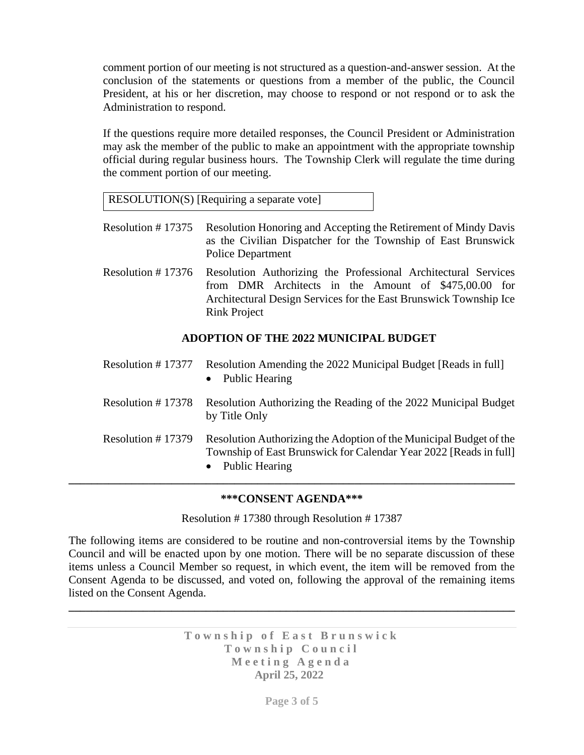comment portion of our meeting is not structured as a question-and-answer session. At the conclusion of the statements or questions from a member of the public, the Council President, at his or her discretion, may choose to respond or not respond or to ask the Administration to respond.

If the questions require more detailed responses, the Council President or Administration may ask the member of the public to make an appointment with the appropriate township official during regular business hours. The Township Clerk will regulate the time during the comment portion of our meeting.

RESOLUTION(S) [Requiring a separate vote]

- Resolution # 17375 Resolution Honoring and Accepting the Retirement of Mindy Davis as the Civilian Dispatcher for the Township of East Brunswick Police Department
- Resolution # 17376 Resolution Authorizing the Professional Architectural Services from DMR Architects in the Amount of \$475,00.00 for Architectural Design Services for the East Brunswick Township Ice Rink Project

# **ADOPTION OF THE 2022 MUNICIPAL BUDGET**

| Resolution $# 17377$ | Resolution Amending the 2022 Municipal Budget [Reads in full]<br><b>Public Hearing</b>                                                                      |
|----------------------|-------------------------------------------------------------------------------------------------------------------------------------------------------------|
| Resolution $# 17378$ | Resolution Authorizing the Reading of the 2022 Municipal Budget<br>by Title Only                                                                            |
| Resolution $# 17379$ | Resolution Authorizing the Adoption of the Municipal Budget of the<br>Township of East Brunswick for Calendar Year 2022 [Reads in full]<br>• Public Hearing |

## **\*\*\*CONSENT AGENDA\*\*\***

Resolution # 17380 through Resolution # 17387

The following items are considered to be routine and non-controversial items by the Township Council and will be enacted upon by one motion. There will be no separate discussion of these items unless a Council Member so request, in which event, the item will be removed from the Consent Agenda to be discussed, and voted on, following the approval of the remaining items listed on the Consent Agenda.

**\_\_\_\_\_\_\_\_\_\_\_\_\_\_\_\_\_\_\_\_\_\_\_\_\_\_\_\_\_\_\_\_\_\_\_\_\_\_\_\_\_\_\_\_\_\_\_\_\_\_\_\_\_\_\_\_\_\_\_\_\_\_\_\_\_\_\_\_\_\_\_\_\_\_\_\_\_\_**

Township of East Brunswick Township Council **M e e t i n g A g e n d a April 25, 2022**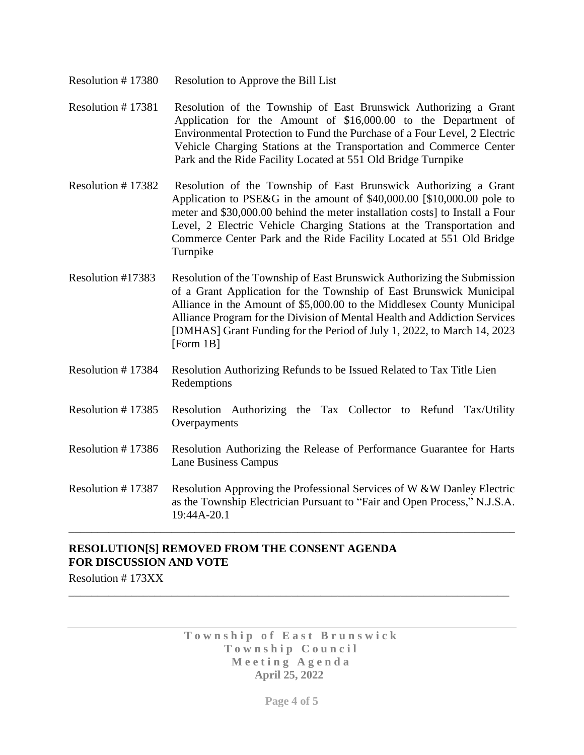- Resolution # 17380 Resolution to Approve the Bill List
- Resolution # 17381 Resolution of the Township of East Brunswick Authorizing a Grant Application for the Amount of \$16,000.00 to the Department of Environmental Protection to Fund the Purchase of a Four Level, 2 Electric Vehicle Charging Stations at the Transportation and Commerce Center Park and the Ride Facility Located at 551 Old Bridge Turnpike
- Resolution # 17382 Resolution of the Township of East Brunswick Authorizing a Grant Application to PSE&G in the amount of \$40,000.00 [\$10,000.00 pole to meter and \$30,000.00 behind the meter installation costs] to Install a Four Level, 2 Electric Vehicle Charging Stations at the Transportation and Commerce Center Park and the Ride Facility Located at 551 Old Bridge Turnpike
- Resolution #17383 Resolution of the Township of East Brunswick Authorizing the Submission of a Grant Application for the Township of East Brunswick Municipal Alliance in the Amount of \$5,000.00 to the Middlesex County Municipal Alliance Program for the Division of Mental Health and Addiction Services [DMHAS] Grant Funding for the Period of July 1, 2022, to March 14, 2023 [Form 1B]
- Resolution # 17384 Resolution Authorizing Refunds to be Issued Related to Tax Title Lien Redemptions
- Resolution # 17385 Resolution Authorizing the Tax Collector to Refund Tax/Utility Overpayments
- Resolution # 17386 Resolution Authorizing the Release of Performance Guarantee for Harts Lane Business Campus
- Resolution # 17387 Resolution Approving the Professional Services of W &W Danley Electric as the Township Electrician Pursuant to "Fair and Open Process," N.J.S.A. 19:44A-20.1

\_\_\_\_\_\_\_\_\_\_\_\_\_\_\_\_\_\_\_\_\_\_\_\_\_\_\_\_\_\_\_\_\_\_\_\_\_\_\_\_\_\_\_\_\_\_\_\_\_\_\_\_\_\_\_\_\_\_\_\_\_\_\_\_\_\_\_\_\_\_\_\_\_\_\_\_\_\_

# **RESOLUTION[S] REMOVED FROM THE CONSENT AGENDA FOR DISCUSSION AND VOTE**

Resolution # 173XX

Township of East Brunswick Township Council **M e e t i n g A g e n d a April 25, 2022**

\_\_\_\_\_\_\_\_\_\_\_\_\_\_\_\_\_\_\_\_\_\_\_\_\_\_\_\_\_\_\_\_\_\_\_\_\_\_\_\_\_\_\_\_\_\_\_\_\_\_\_\_\_\_\_\_\_\_\_\_\_\_\_\_\_\_\_\_\_\_\_\_\_\_\_\_\_